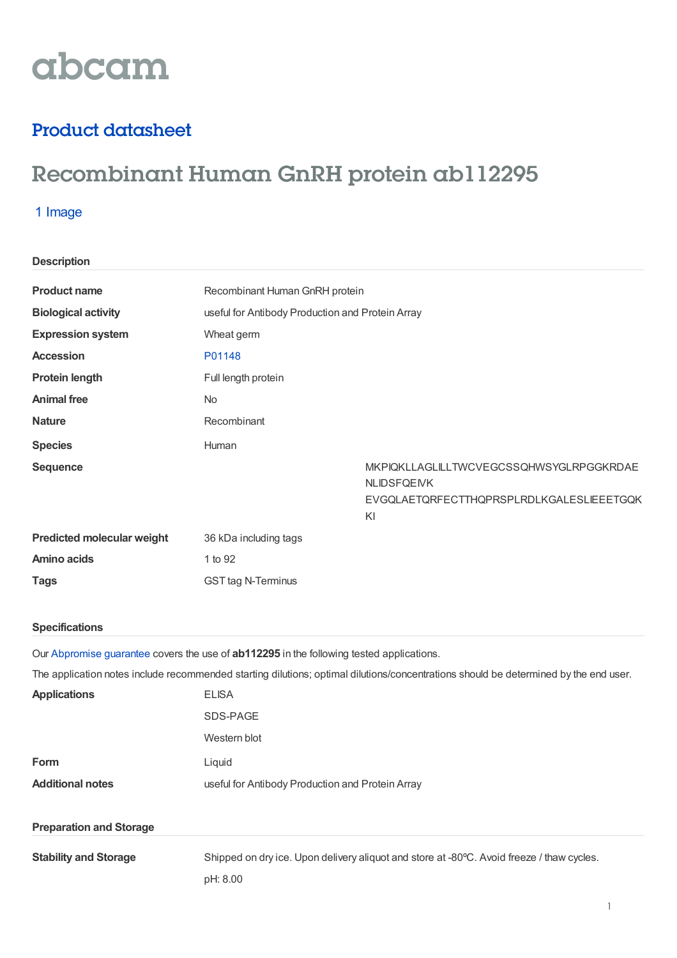# abcam

# Product datasheet

# Recombinant Human GnRH protein ab112295

## 1 Image

| <b>Description</b>                |                                                  |                                                                                                                 |
|-----------------------------------|--------------------------------------------------|-----------------------------------------------------------------------------------------------------------------|
| <b>Product name</b>               | Recombinant Human GnRH protein                   |                                                                                                                 |
| <b>Biological activity</b>        | useful for Antibody Production and Protein Array |                                                                                                                 |
| <b>Expression system</b>          | Wheat germ                                       |                                                                                                                 |
| <b>Accession</b>                  | P01148                                           |                                                                                                                 |
| <b>Protein length</b>             | Full length protein                              |                                                                                                                 |
| <b>Animal free</b>                | <b>No</b>                                        |                                                                                                                 |
| <b>Nature</b>                     | Recombinant                                      |                                                                                                                 |
| <b>Species</b>                    | Human                                            |                                                                                                                 |
| <b>Sequence</b>                   |                                                  | MKPIQKLLAGLILLTWCVEGCSSQHWSYGLRPGGKRDAE<br><b>NLIDSFQEIVK</b><br>EVGQLAETQRFECTTHQPRSPLRDLKGALESLIEEETGQK<br>KI |
| <b>Predicted molecular weight</b> | 36 kDa including tags                            |                                                                                                                 |
| <b>Amino acids</b>                | 1 to 92                                          |                                                                                                                 |
| <b>Tags</b>                       | <b>GST tag N-Terminus</b>                        |                                                                                                                 |

#### **Specifications**

Our [Abpromise](https://www.abcam.com/abpromise) guarantee covers the use of **ab112295** in the following tested applications.

The application notes include recommended starting dilutions; optimal dilutions/concentrations should be determined by the end user.

| <b>Applications</b>            | <b>ELISA</b>                                                                                          |  |  |
|--------------------------------|-------------------------------------------------------------------------------------------------------|--|--|
|                                | SDS-PAGE                                                                                              |  |  |
|                                | Western blot                                                                                          |  |  |
| Form                           | Liquid                                                                                                |  |  |
| <b>Additional notes</b>        | useful for Antibody Production and Protein Array                                                      |  |  |
|                                |                                                                                                       |  |  |
| <b>Preparation and Storage</b> |                                                                                                       |  |  |
| <b>Stability and Storage</b>   | Shipped on dry ice. Upon delivery aliquot and store at -80°C. Avoid freeze / thaw cycles.<br>pH: 8.00 |  |  |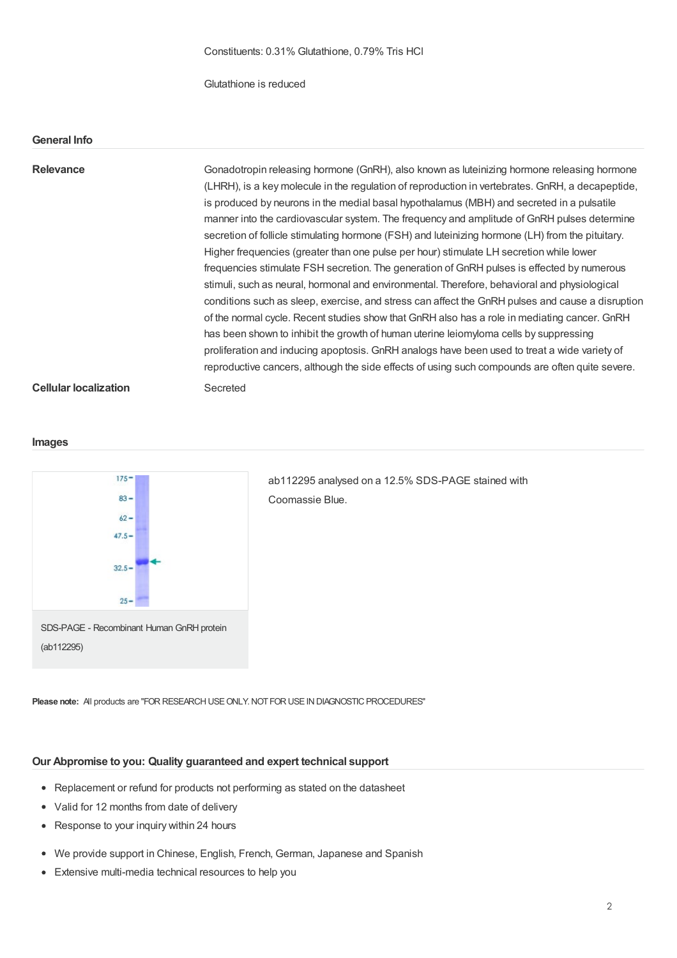Glutathione is reduced

#### **General Info**

## Relevance **Gonadotropin releasing hormone (GnRH)**, also known as luteinizing hormone releasing hormone (LHRH), is a key molecule in the regulation of reproduction in vertebrates. GnRH, a decapeptide, is produced by neurons in the medial basal hypothalamus (MBH) and secreted in a pulsatile manner into the cardiovascular system. The frequency and amplitude of GnRH pulses determine secretion of follicle stimulating hormone (FSH) and luteinizing hormone (LH) from the pituitary. Higher frequencies (greater than one pulse per hour) stimulate LH secretion while lower frequencies stimulate FSH secretion. The generation of GnRH pulses is effected by numerous stimuli, such as neural, hormonal and environmental. Therefore, behavioral and physiological conditions such as sleep, exercise, and stress can affect the GnRH pulses and cause a disruption of the normal cycle. Recent studies show that GnRH also has a role in mediating cancer. GnRH has been shown to inhibit the growth of human uterine leiomyloma cells by suppressing proliferation and inducing apoptosis. GnRH analogs have been used to treat a wide variety of reproductive cancers, although the side effects of using such compounds are often quite severe. **Cellular localization** Secreted

#### **Images**



ab112295 analysed on a 12.5% SDS-PAGE stained with Coomassie Blue.

**Please note:** All products are "FOR RESEARCH USE ONLY. NOT FOR USE IN DIAGNOSTIC PROCEDURES"

### **Our Abpromise to you: Quality guaranteed and expert technical support**

- Replacement or refund for products not performing as stated on the datasheet
- Valid for 12 months from date of delivery
- Response to your inquiry within 24 hours
- We provide support in Chinese, English, French, German, Japanese and Spanish
- Extensive multi-media technical resources to help you